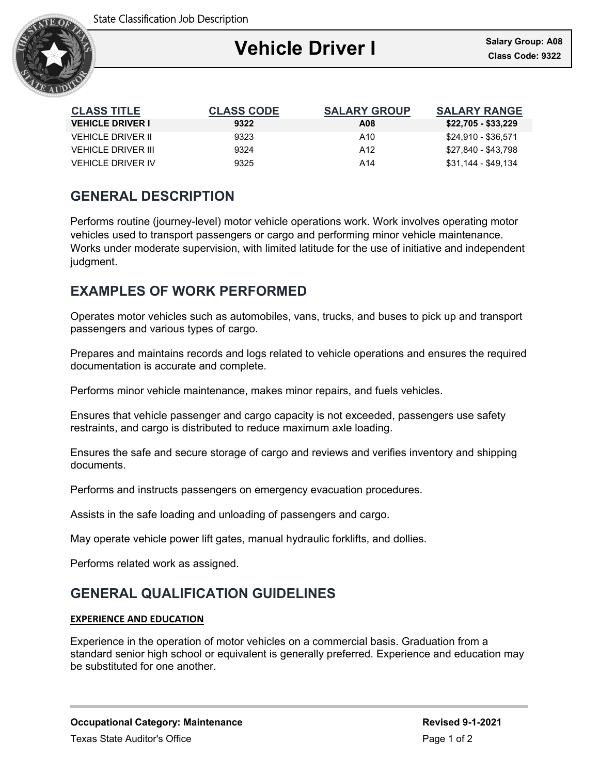

| <b>CLASS TITLE</b>       | <b>CLASS CODE</b> | <b>SALARY GROUP</b> | <b>SALARY RANGE</b> |
|--------------------------|-------------------|---------------------|---------------------|
| <b>VEHICLE DRIVER I</b>  | 9322              | A08                 | \$22,705 - \$33,229 |
| VEHICLE DRIVER II        | 9323              | A <sub>10</sub>     | \$24.910 - \$36.571 |
| VEHICLE DRIVER III       | 9324              | A12                 | \$27.840 - \$43.798 |
| <b>VEHICLE DRIVER IV</b> | 9325              | A14                 | \$31.144 - \$49.134 |

## **GENERAL DESCRIPTION**

Performs routine (journey-level) motor vehicle operations work. Work involves operating motor vehicles used to transport passengers or cargo and performing minor vehicle maintenance. Works under moderate supervision, with limited latitude for the use of initiative and independent judgment.

# **EXAMPLES OF WORK PERFORMED**

Operates motor vehicles such as automobiles, vans, trucks, and buses to pick up and transport passengers and various types of cargo.

Prepares and maintains records and logs related to vehicle operations and ensures the required documentation is accurate and complete.

Performs minor vehicle maintenance, makes minor repairs, and fuels vehicles.

Ensures that vehicle passenger and cargo capacity is not exceeded, passengers use safety restraints, and cargo is distributed to reduce maximum axle loading.

Ensures the safe and secure storage of cargo and reviews and verifies inventory and shipping documents.

Performs and instructs passengers on emergency evacuation procedures.

Assists in the safe loading and unloading of passengers and cargo.

May operate vehicle power lift gates, manual hydraulic forklifts, and dollies.

Performs related work as assigned.

## **GENERAL QUALIFICATION GUIDELINES**

### **EXPERIENCE AND EDUCATION**

Experience in the operation of motor vehicles on a commercial basis. Graduation from a standard senior high school or equivalent is generally preferred. Experience and education may be substituted for one another.